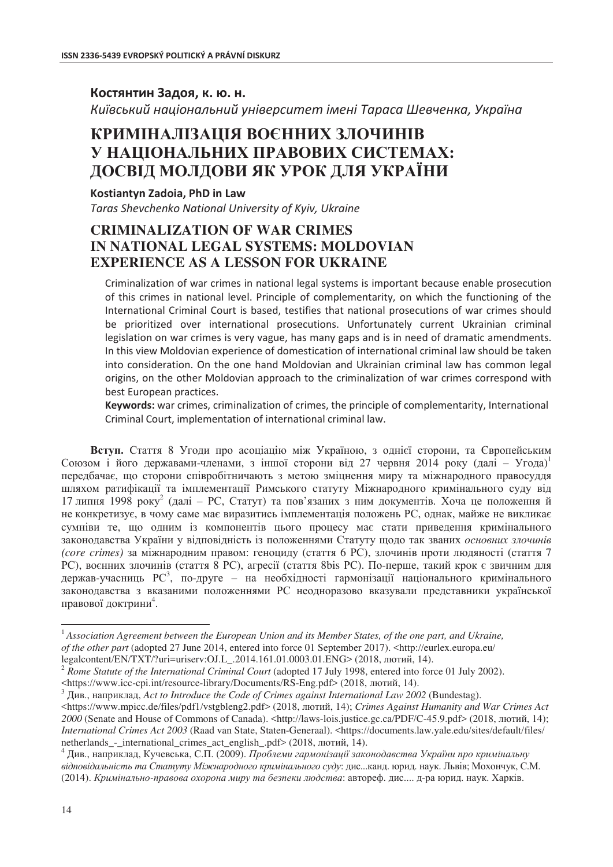### Костянтин Задоя, к. ю. н.

Київський національний університет імені Тараса Шевченка, Україна

# КРИМІНАЛІЗАЦІЯ ВОЄННИХ ЗЛОЧИНІВ У НАШОНАЛЬНИХ ПРАВОВИХ СИСТЕМАХ: **ȾɈɋȼȱȾ ɆɈɅȾɈȼɂ əɄ ɍɊɈɄ ȾɅə ɍɄɊȺȲɇɂ**

#### **Kostiantyn Zadoia, PhD in Law**

Taras Shevchenko National University of Kyiv, Ukraine

## **CRIMINALIZATION OF WAR CRIMES IN NATIONAL LEGAL SYSTEMS: MOLDOVIAN EXPERIENCE AS A LESSON FOR UKRAINE**

Criminalization of war crimes in national legal systems is important because enable prosecution of this crimes in national level. Principle of complementarity, on which the functioning of the International Criminal Court is based, testifies that national prosecutions of war crimes should be prioritized over international prosecutions. Unfortunately current Ukrainian criminal legislation on war crimes is very vague, has many gaps and is in need of dramatic amendments. In this view Moldovian experience of domestication of international criminal law should be taken into consideration. On the one hand Moldovian and Ukrainian criminal law has common legal origins, on the other Moldovian approach to the criminalization of war crimes correspond with best European practices.

Keywords: war crimes, criminalization of crimes, the principle of complementarity, International Criminal Court, implementation of international criminal law.

Вступ. Стаття 8 Угоди про асоціацію між Україною, з однієї сторони, та Європейським Союзом і його державами-членами, з іншої сторони від 27 червня 2014 року (далі - Угода)<sup>1</sup> передбачає, що сторони співробітничають з метою зміцнення миру та міжнародного правосуддя шляхом ратифікації та імплементації Римського статуту Міжнародного кримінального суду від 17 липня 1998 року<sup>2</sup> (далі – РС, Статут) та пов'язаних з ним документів. Хоча це положення й не конкретизує, в чому саме має виразитись імплементація положень РС, однак, майже не викликає сумніви те, що одним із компонентів цього процесу має стати приведення кримінального законодавства України у відповідність із положеннями Статуту щодо так званих основних злочинів *(core crimes)* за міжнародним правом: геноциду (стаття 6 PC), злочинів проти людяності (стаття 7 РС), воєнних злочинів (стаття 8 РС), агресії (стаття 8bis РС). По-перше, такий крок є звичним для держав-учасниць РС<sup>3</sup>, по-друге – на необхідності гармонізації національного кримінального законодавства з вказаними положеннями РС неодноразово вказували представники української правової доктрини $^4$ .

<sup>&</sup>lt;sup>1</sup> Association Agreement between the European Union and its Member States, of the one part, and Ukraine, *of the other part* (adopted 27 June 2014, entered into force 01 September 2017). <http://eurlex.europa.eu/<br>legalcontent/EN/TXT/?uri=uriserv:OJ.L .2014.161.01.0003.01.ENG> (2018, лютий, 14).

<sup>&</sup>lt;sup>2</sup> Rome Statute of the International Criminal Court (adopted 17 July 1998, entered into force 01 July 2002). <br>
<https://www.icc-cpi.int/resource-library/Documents/RS-Eng.pdf> (2018, лютий, 14).

 $^3$  Див., наприклад, Act to Introduce the Code of Crimes against International Law 2002 (Bundestag).

<sup>&</sup>lt;https://www.mpicc.de/files/pdf1/vstgbleng2.pdf> (2018, лютий, 14); *Crimes Against Humanity and War Crimes Act* 2000 (Senate and House of Commons of Canada). <http://laws-lois.justice.gc.ca/PDF/C-45.9.pdf> (2018, лютий, 14); *International Crimes Act 2003* (Raad van State, Staten-Generaal). <https://documents.law.yale.edu/sites/default/files/ netherlands\_-\_international\_crimes\_act\_english\_.pdf> (2018, лютий, 14).<br><sup>4</sup> Див., наприклад, Кучевська, С.П. (2009). *Проблеми гармонізації законодавства України про кримінальну* 

відповідальність та Статуту Міжнародного кримінального суду: дис...канд. юрид. наук. Львів; Мохончук, С.М. (2014). *Кримінально-правова охорона миру та безпеки людства*: автореф. дис.... д-ра юрид. наук. Харків.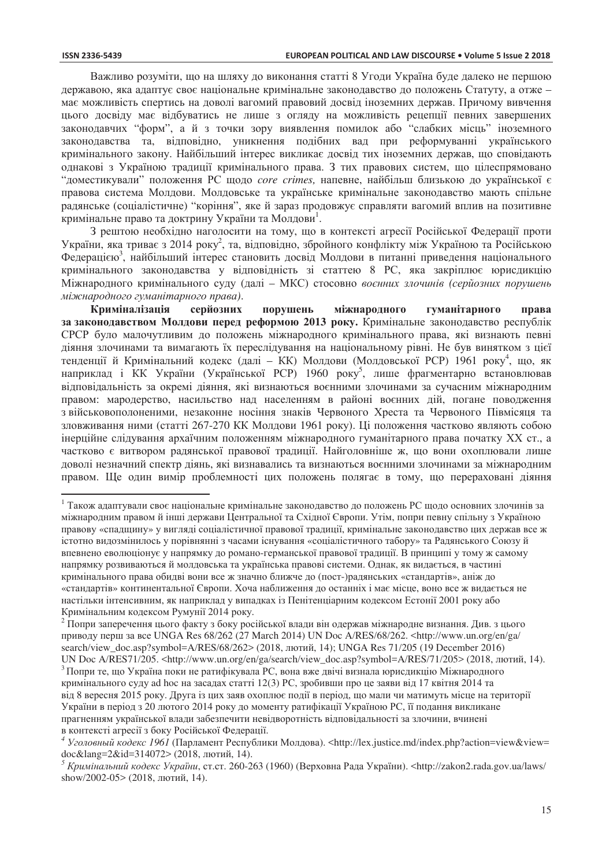$\overline{a}$ 

Важливо розуміти, що на шляху до виконання статті 8 Угоди Україна буде далеко не першою державою, яка адаптує своє національне кримінальне законодавство до положень Статуту, а отже – має можливість спертись на доволі вагомий правовий досвід іноземних держав. Причому вивчення цього досвіду має відбуватись не лише з огляду на можливість рецепції певних завершених законодавчих "форм", а й з точки зору виявлення помилок або "слабких місць" іноземного законодавства та, відповідно, уникнення подібних вад при реформуванні українського кримінального закону. Найбільший інтерес викликає досвід тих іноземних держав, що сповідають однакові з Україною традиції кримінального права. З тих правових систем, що цілеспрямовано "доместикували" положення РС щодо *core crimes*, напевне, найбільш близькою до української є правова система Молдови. Молдовське та українське кримінальне законодавство мають спільне радянське (соціалістичне) "коріння", яке й зараз продовжує справляти вагомий вплив на позитивне кримінальне право та доктрину України та Молдови<sup>1</sup>.

3 рештою необхідно наголосити на тому, що в контексті агресії Російської Федерації проти України, яка триває з 2014 року<sup>2</sup>, та, відповідно, збройного конфлікту між Україною та Російською Федерацією<sup>3</sup>, найбільший інтерес становить досвід Молдови в питанні приведення національного кримінального законодавства у відповідність зі статтею 8 РС, яка закріплює юрисдикцію Міжнародного кримінального суду (далі – МКС) стосовно воєнних злочинів (серйозних порушень  $M$ *i* $\star$ *k* $H$ <sub>*apoдного гуманітарного права*).</sub>

Криміналізація серйозних порушень міжнародного гуманітарного права **за законодавством Молдови перед реформою 2013 року. Кримінальне законодавство республік** СРСР було малочутливим до положень міжнародного кримінального права, які визнають певні діяння злочинами та вимагають їх переслідування на національному рівні. Не був винятком з цієї тенденції й Кримінальний кодекс (далі – КК) Молдови (Молдовської РСР) 1961 року<sup>4</sup>, що, як наприклад і КК України (Української РСР) 1960 року<sup>5</sup>, лише фрагментарно встановлював відповідальність за окремі діяння, які визнаються воєнними злочинами за сучасним міжнародним правом: мародерство, насильство над населенням в районі воєнних дій, погане поводження з військовополоненими, незаконне носіння знаків Червоного Хреста та Червоного Півмісяця та зловживання ними (статті 267-270 КК Молдови 1961 року). Ці положення частково являють собою інерційне слідування архаїчним положенням міжнародного гуманітарного права початку XX ст., а частково є витвором радянської правової традиції. Найголовніше ж, що вони охоплювали лише доволі незначний спектр діянь, які визнавались та визнаються воєнними злочинами за міжнародним правом. Ще один вимір проблемності цих положень полягає в тому, що перераховані діяння

 $^{\rm 1}$  Також адаптували своє національне кримінальне законодавство до положень РС щодо основних злочинів за міжнаролним правом й інші лержави Центральної та Схілної Європи. Утім, попри певну спільну з Україною правову «спадщину» у вигляді соціалістичної правової традиції, кримінальне законодавство цих держав все ж істотно видозмінилось у порівнянні з часами існування «соціалістичного табору» та Радянського Союзу й впевнено еволюціонує у напрямку до романо-германської правової традиції. В принципі у тому ж самому напрямку розвиваються й молдовська та українська правові системи. Однак, як видається, в частині кримінального права обидві вони все ж значно ближче до (пост-)радянських «стандартів», аніж до «стандартів» континентальної Європи. Хоча наближення до останніх і має місце, воно все ж видається не настільки інтенсивним, як наприклад у випадках із Пенітенціарним кодексом Естонії 2001 року або Кримінальним кодексом Румунії 2014 року.<br><sup>2</sup> Попри заперечення цього факту з боку російської влади він одержав міжнародне визнання. Див. з цього

приводу перш за все UNGA Res 68/262 (27 March 2014) UN Doc A/RES/68/262. <http://www.un.org/en/ga/ search/view\_doc.asp?symbol=A/RES/68/262> (2018, лютий, 14); UNGA Res 71/205 (19 December 2016)<br>UN Doc A/RES71/205 <http://www.un.org/en/ga/search/view\_doc.asp?symbol=A/RES/71/205> (2018, лютий, 14).  $^3$ Попри те, що Україна поки не ратифікувала РС, вона вже двічі визнала юрисдикцію Міжнародного кримінального суду ad hoc на засадах статті 12(3) РС, зробивши про це заяви від 17 квітня 2014 та від 8 вересня 2015 року. Друга із цих заяв охоплює події в період, що мали чи матимуть місце на території України в період з 20 лютого 2014 року до моменту ратифікації Україною РС, її подання викликане прагненням української влади забезпечити невідворотність відповідальності за злочини, вчинені

в контексті агресії з боку Російської Федерації.<br><sup>4</sup> Уголовный кодекс 1961 (Парламент Республики Молдова). <http://lex.justice.md/index.php?action=view&view= doc&lang=2&id=314072> (2018, лютий, 14).<br><sup>5</sup> *Кримінальний кодекс України*, ст.ст. 260-263 (1960) (Верховна Рада України). <http://zakon2.rada.gov.ua/laws/

show/2002-05> (2018, лютий, 14).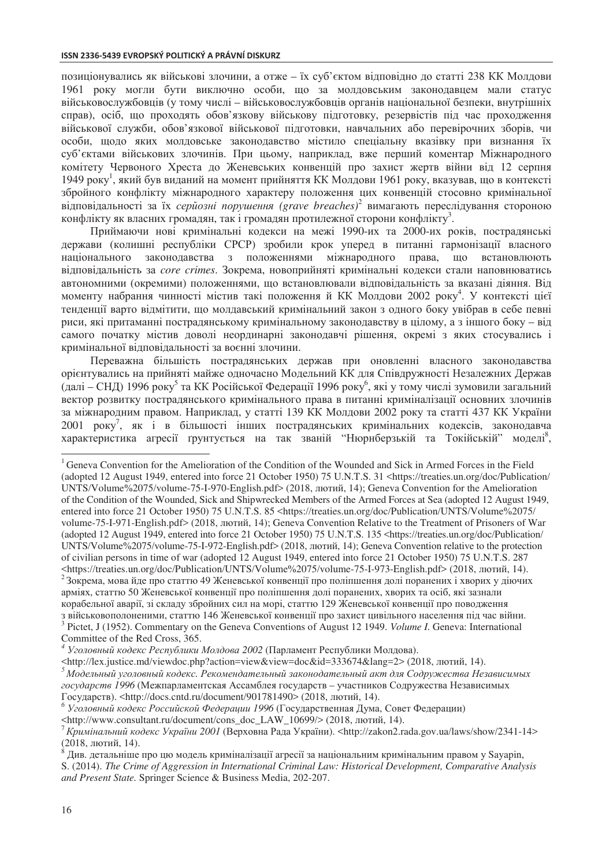позиціонувались як військові злочини, а отже – їх суб'єктом відповідно до статті 238 КК Молдови 1961 року могли бути виключно особи, що за молдовським законодавцем мали статус військовослужбовців (у тому числі – військовослужбовців органів національної безпеки, внутрішніх справ), осіб, що проходять обов'язкову військову підготовку, резервістів під час проходження військової служби, обов'язкової військової підготовки, навчальних або перевірочних зборів, чи особи, щодо яких молдовське законодавство містило спеціальну вказівку при визнання їх суб'єктами військових злочинів. При цьому, наприклад, вже перший коментар Міжнародного комітету Червоного Хреста до Женевських конвенцій про захист жертв війни від 12 серпня 1949 року<sup>1</sup>, який був виданий на момент прийняття КК Молдови 1961 року, вказував, що в контексті збройного конфлікту міжнародного характеру положення цих конвенцій стосовно кримінальної відповідальності за їх серйозні порушення (grave breaches)<sup>2</sup> вимагають переслідування стороною конфлікту як власних громадян, так і громадян протилежної сторони конфлікту<sup>3</sup>.

Приймаючи нові кримінальні кодекси на межі 1990-их та 2000-их років, пострадянські держави (колишні республіки СРСР) зробили крок уперед в питанні гармонізації власного національного законодавства з положеннями міжнародного права, що встановлюють відповідальність за *core crimes*. Зокрема, новоприйняті кримінальні кодекси стали наповнюватись автономними (окремими) положеннями, що встановлювали відповідальність за вказані діяння. Від моменту набрання чинності містив такі положення й КК Молдови 2002 року<sup>4</sup>. У контексті цієї тенденції варто відмітити, що молдавський кримінальний закон з одного боку увібрав в себе певні риси, які притаманні пострадянському кримінальному законодавству в цілому, а з іншого боку – від самого початку містив доволі неординарні законодавчі рішення, окремі з яких стосувались і кримінальної відповідальності за воєнні злочини.

Переважна більшість пострадянських держав при оновленні власного законодавства орієнтувались на прийняті майже одночасно Модельний КК для Співдружності Незалежних Держав (далі – СНД) 1996 року<sup>5</sup> та КК Російської Федерації 1996 року<sup>6</sup>, які у тому числі зумовили загальний вектор розвитку пострадянського кримінального права в питанні криміналізації основних злочинів за міжнародним правом. Наприклад, у статті 139 КК Молдови 2002 року та статті 437 КК України 2001 року<sup>7</sup>, як і в більшості інших пострадянських кримінальних кодексів, законодавча характеристика агресії ґрунтується на так званій "Нюрнберзькій та Токійській" моделі<sup>8</sup>,

 $\overline{a}$ <sup>1</sup> Geneva Convention for the Amelioration of the Condition of the Wounded and Sick in Armed Forces in the Field (adopted 12 August 1949, entered into force 21 October 1950) 75 U.N.T.S. 31 <https://treaties.un.org/doc/Publication/ UNTS/Volume%2075/volume-75-I-970-English.pdf> (2018, лютий, 14); Geneva Convention for the Amelioration of the Condition of the Wounded, Sick and Shipwrecked Members of the Armed Forces at Sea (adopted 12 August 1949, entered into force 21 October 1950) 75 U.N.T.S. 85 <https://treaties.un.org/doc/Publication/UNTS/Volume%2075/ volume-75-I-971-English.pdf> (2018, лютий, 14); Geneva Convention Relative to the Treatment of Prisoners of War (adopted 12 August 1949, entered into force 21 October 1950) 75 U.N.T.S. 135 <https://treaties.un.org/doc/Publication/ UNTS/Volume%2075/volume-75-I-972-English.pdf> (2018, лютий, 14); Geneva Convention relative to the protection of civilian persons in time of war (adopted 12 August 1949, entered into force 21 October 1950) 75 U.N.T.S. 287 <https://treaties.un.org/doc/Publication/UNTS/Volume%2075/volume-75-I-973-English.pdf> (2018, лютий, 14).<br><sup>2</sup> Зокрема, мова йде про статтю 49 Женевської конвенції про поліпшення долі поранених і хворих у діючих арміях, статтю 50 Женевської конвенції про поліпшення долі поранених, хворих та осіб, які зазнали корабельної аварії, зі складу збройних сил на морі, статтю 129 Женевської конвенції про поводження

з військовополоненими, статтю 146 Женевської конвенції про захист цивільного населення під час війни. <sup>3</sup> Pictet, J (1952). Commentary on the Geneva Conventions of August 12 1949. *Volume I*. Geneva: International Committee of the Red Cross, 365.

<sup>&</sup>lt;sup>4</sup> Уголовный кодекс Республики Молдова 2002 (Парламент Республики Молдова).

<sup>&</sup>lt;http://lex.justice.md/viewdoc.php?action=view&view=doc&id=333674&lang=2>(2018, лютий, 14).<br><sup>5</sup> Модельный уголовный кодекс. Рекомендательный законодательный акт для Содружества Независимых

 $20$ *сударств* 1996 (Межпарламентская Ассамблея государств – участников Содружества Независимых Государств). <http://docs.cntd.ru/document/901781490> (2018, лютий, 14).

<sup>&</sup>lt;sup>6</sup> Уголовный кодекс Российской Федерации 1996 (Государственная Дума, Совет Федерации)<br><http://www.consultant.ru/document/cons\_doc\_LAW\_10699/>(2018, лютий, 14).

<sup>&</sup>lt;sup>7</sup> Кримінальний кодекс України 2001 (Верховна Рада України). <http://zakon2.rada.gov.ua/laws/show/2341-14> (2018, ɥɸɬɢɣ, 14). 8 Ⱦɢɜ. ɞɟɬɚɥɶɧɿɲɟ ɩɪɨ ɰɸ ɦɨɞɟɥɶ ɤɪɢɦɿɧɚɥɿɡɚɰɿʀ ɚɝɪɟɫɿʀ ɡɚ ɧɚɰɿɨɧɚɥɶɧɢɦ ɤɪɢɦɿɧɚɥɶɧɢɦ ɩɪɚɜɨɦ <sup>ɭ</sup> Sayapin,

S. (2014). *The Crime of Aggression in International Criminal Law: Historical Development, Comparative Analysis and Present State.* Springer Science & Business Media, 202-207.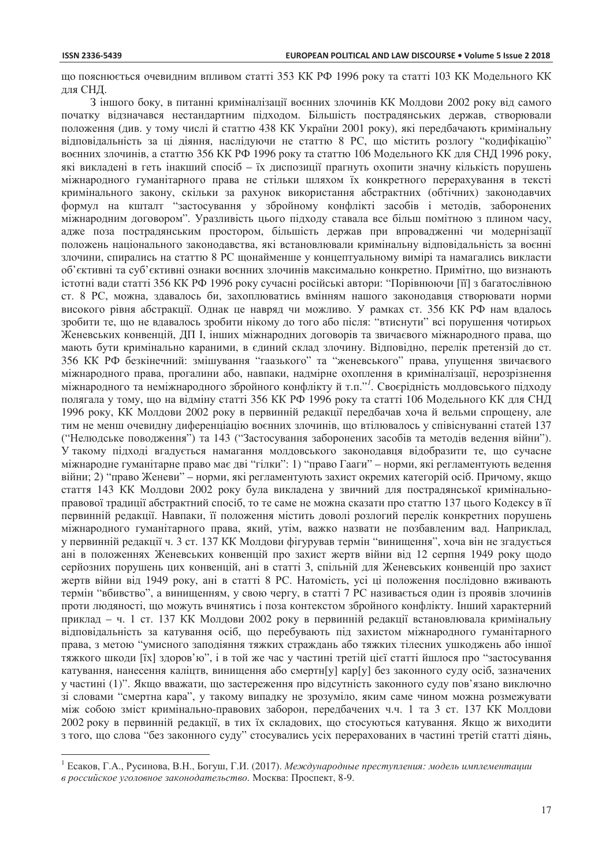$\overline{a}$ 

що пояснюється очевидним впливом статті 353 КК РФ 1996 року та статті 103 КК Модельного КК для СНД.

З іншого боку, в питанні криміналізації воєнних злочинів КК Молдови 2002 року від самого початку відзначався нестандартним підходом. Більшість пострадянських держав, створювали положення (див. у тому числі й статтю 438 КК України 2001 року), які передбачають кримінальну відповідальність за ці діяння, наслідуючи не статтю 8 РС, що містить розлогу "кодифікацію" воєнних злочинів, а статтю 356 КК РФ 1996 року та статтю 106 Модельного КК для СНД 1996 року, які викладені в геть інакший спосіб – їх диспозиції прагнуть охопити значну кількість порушень міжнародного гуманітарного права не стільки шляхом їх конкретного перерахування в тексті кримінального закону, скільки за рахунок використання абстрактних (обтічних) законодавчих формул на кшталт "застосування у збройному конфлікті засобів і методів, заборонених міжнародним договором". Уразливість цього підходу ставала все більш помітною з плином часу, адже поза пострадянським простором, більшість держав при впровадженні чи модернізації положень національного законодавства, які встановлювали кримінальну відповідальність за воєнні злочини, спирались на статтю 8 PC щонайменше у концептуальному вимірі та намагались викласти об'єктивні та суб'єктивні ознаки воєнних злочинів максимально конкретно. Примітно, що визнають істотні вади статті 356 КК РФ 1996 року сучасні російські автори: "Порівнюючи [її] з багатослівною ст. 8 РС, можна, здавалось би, захоплюватись вмінням нашого законодавця створювати норми високого рівня абстракції. Однак це навряд чи можливо. У рамках ст. 356 КК РФ нам вдалось зробити те, що не вдавалось зробити нікому до того або після: "втиснути" всі порушення чотирьох Женевських конвенцій, ДП І, інших міжнародних договорів та звичаєвого міжнародного права, що мають бути кримінально караними, в єдиний склад злочину. Відповідно, перелік претензій до ст. 356 КК РФ безкінечний: змішування "гаазького" та "женевського" права, упущення звичаєвого міжнародного права, прогалини або, навпаки, надмірне охоплення в криміналізації, нерозрізнення міжнародного та неміжнародного збройного конфлікту й т.п."<sup>1</sup>. Своєрідність молдовського підходу полягала у тому, що на відміну статті 356 КК РФ 1996 року та статті 106 Модельного КК для СНД 1996 року, КК Молдови 2002 року в первинній редакції передбачав хоча й вельми спрощену, але тим не менш очевидну диференціацію воєнних злочинів, що втілювалось у співіснуванні статей 137 ("Нелюдське поводження") та 143 ("Застосування заборонених засобів та методів ведення війни"). У такому підході вгадується намагання молдовського законодавця відобразити те, що сучасне міжнародне гуманітарне право має дві "гілки": 1) "право Гааги" – норми, які регламентують ведення війни; 2) "право Женеви" – норми, які регламентують захист окремих категорій осіб. Причому, якщо стаття 143 КК Молдови 2002 року була викладена у звичний для пострадянської кримінальноправової традиції абстрактний спосіб, то те саме не можна сказати про статтю 137 цього Кодексу в її первинній редакції. Навпаки, її положення містить доволі розлогий перелік конкретних порушень міжнародного гуманітарного права, який, утім, важко назвати не позбавленим вал. Наприклад, у первинній редакції ч. 3 ст. 137 КК Молдови фігурував термін "винищення", хоча він не згадується ані в положеннях Женевських конвенцій про захист жертв війни від 12 серпня 1949 року щодо серйозних порушень цих конвенцій, ані в статті 3, спільній для Женевських конвенцій про захист жертв війни від 1949 року, ані в статті 8 РС. Натомість, усі ці положення послідовно вживають термін "вбивство", а винищенням, у свою чергу, в статті 7 РС називається один із проявів злочинів проти людяності, що можуть вчинятись і поза контекстом збройного конфлікту. Інший характерний приклад – ч. 1 ст. 137 КК Молдови 2002 року в первинній редакції встановлювала кримінальну відповідальність за катування осіб, що перебувають під захистом міжнародного гуманітарного права, з метою "умисного заподіяння тяжких страждань або тяжких тілесних ушкоджень або іншої тяжкого шкоди [їх] здоров'ю", і в той же час у частині третій цієї статті йшлося про "застосування катування, нанесення каліцтв, винищення або смертн[у] кар[у] без законного суду осіб, зазначених у частині (1)". Якщо вважати, що застереження про відсутність законного суду пов'язано виключно зі словами "смертна кара", у такому випадку не зрозуміло, яким саме чином можна розмежувати між собою зміст кримінально-правових заборон, передбачених ч.ч. 1 та 3 ст. 137 КК Молдови 2002 року в первинній редакції, в тих їх складових, що стосуються катування. Якщо ж виходити з того, що слова "без законного суду" стосувались усіх перерахованих в частині третій статті діянь,

<sup>&</sup>lt;sup>1</sup> Есаков, Г.А., Русинова, В.Н., Богуш, Г.И. (2017). *Международные преступления: модель имплементации ɜ ɪɨɫɫɢɣɫɤɨɟ ɭɝɨɥɨɜɧɨɟ ɡɚɤɨɧɨɞɚɬɟɥɶɫɬɜɨ.* Ɇɨɫɤɜɚ: ɉɪɨɫɩɟɤɬ, 8-9.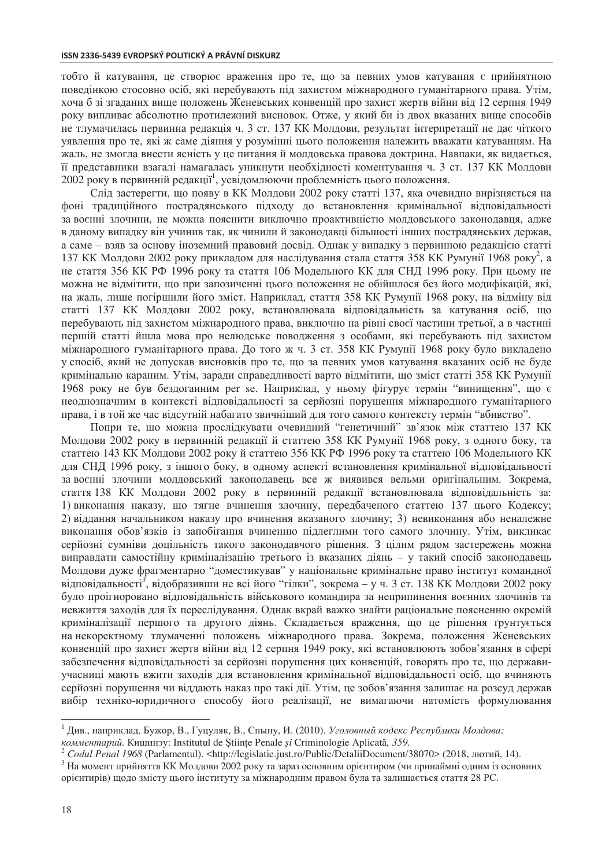тобто й катування, це створює враження про те, що за певних умов катування є прийнятною поведінкою стосовно осіб, які перебувають під захистом міжнародного гуманітарного права. Утім, хоча б зі згаданих вище положень Женевських конвенцій про захист жертв війни від 12 серпня 1949 року випливає абсолютно протилежний висновок. Отже, у який би із двох вказаних вище способів не тлумачилась первинна редакція ч. 3 ст. 137 КК Молдови, результат інтерпретації не дає чіткого уявлення про те, які ж саме діяння у розумінні цього положення належить вважати катуванням. На жаль, не змогла внести ясність у це питання й молдовська правова доктрина. Навпаки, як видається, її представники взагалі намагалась уникнути необхідності коментування ч. 3 ст. 137 КК Молдови 2002 року в первинній редакції<sup>1</sup>, усвідомлюючи проблемність цього положення.

Слід застерегти, що появу в КК Молдови 2002 року статті 137, яка очевидно вирізняється на фоні традиційного пострадянського підходу до встановлення кримінальної відповідальності за воєнні злочини, не можна пояснити виключно проактивністю молдовського законодавця, адже в даному випадку він учинив так, як чинили й законодавці більшості інших пострадянських держав, а саме – взяв за основу іноземний правовий досвід. Однак у випадку з первинною редакцією статті 137 КК Молдови 2002 року прикладом для наслідування стала стаття 358 КК Румунії 1968 року<sup>2</sup>, а не стаття 356 КК РФ 1996 року та стаття 106 Модельного КК для СНД 1996 року. При цьому не можна не відмітити, що при запозиченні цього положення не обійшлося без його модифікацій, які, на жаль, лише погіршили його зміст. Наприклад, стаття 358 КК Румунії 1968 року, на відміну від статті 137 КК Молдови 2002 року, встановлювала відповідальність за катування осіб, що перебувають піл захистом міжнаролного права, виключно на рівні своєї частини третьої, а в частині першій статті йшла мова про нелюдське поводження з особами, які перебувають під захистом міжнародного гуманітарного права. До того ж ч. 3 ст. 358 КК Румунії 1968 року було викладено у спосіб, який не допускав висновків про те, що за певних умов катування вказаних осіб не буде кримінально караним. Утім, заради справедливості варто відмітити, що зміст статті 358 КК Румунії 1968 року не був бездоганним рег ѕе. Наприклад, у ньому фігурує термін "винищення", що є неолнозначним в контексті вілповілальності за серйозні порушення міжнаролного гуманітарного права, і в той же час відсутній набагато звичніший для того самого контексту термін "вбивство".

Попри те, що можна прослідкувати очевидний "генетичний" зв'язок між статтею 137 КК Молдови 2002 року в первинній редакції й статтею 358 КК Румунії 1968 року, з одного боку, та статтею 143 КК Молдови 2002 року й статтею 356 КК РФ 1996 року та статтею 106 Модельного КК для СНД 1996 року, з іншого боку, в одному аспекті встановлення кримінальної відповідальності за воєнні злочини молдовський законодавець все ж виявився вельми оригінальним. Зокрема, стаття 138 КК Молдови 2002 року в первинній редакції встановлювала відповідальність за: 1) виконання наказу, що тягне вчинення злочину, передбаченого статтею 137 цього Кодексу; 2) віддання начальником наказу про вчинення вказаного злочину; 3) невиконання або неналежне виконання обов'язків із запобігання вчиненню підлеглими того самого злочину. Утім, викликає серйозні сумніви доцільність такого законодавчого рішення. З цілим рядом застережень можна виправдати самостійну криміналізацію третього із вказаних діянь – у такий спосіб законодавець Молдови дуже фрагментарно "доместикував" у національне кримінальне право інститут командної відповідальності<sup>3</sup>, відобразивши не всі його "гілки", зокрема – у ч. 3 ст. 138 КК Молдови 2002 року було проігноровано відповідальність військового командира за неприпинення воєнних злочинів та невжиття заходів для їх переслідування. Однак вкрай важко знайти раціональне поясненню окремій криміналізації першого та другого діянь. Складається враження, що це рішення ґрунтується на некоректному тлумаченні положень міжнародного права. Зокрема, положення Женевських конвенцій про захист жертв війни від 12 серпня 1949 року, які встановлюють зобов'язання в сфері забезпечення відповідальності за серйозні порушення цих конвенцій, говорять про те, що державиучасниці мають вжити заходів для встановлення кримінальної відповідальності осіб, що вчиняють серйозні порушення чи віддають наказ про такі дії. Утім, це зобов'язання залишає на розсуд держав вибір техніко-юридичного способу його реалізації, не вимагаючи натомість формулювання

 $^1$  Див., наприклад, Бужор, В., Гуцуляк, В., Спыну, И. (2010). *Уголовный кодекс Республики Молдова*:

комментарий. Кишинэу: Institutul de Științe Penale *și* Criminologie Aplicată, 359.<br><sup>2</sup> Codul Penal 1968 (Parlamentul). <http://legislatie.just.ro/Public/DetaliiDocument/38070> (2018, лютий, 14).<br><sup>3</sup> На момент прийняття орієнтирів) щодо змісту цього інституту за міжнародним правом була та залишається стаття 28 РС.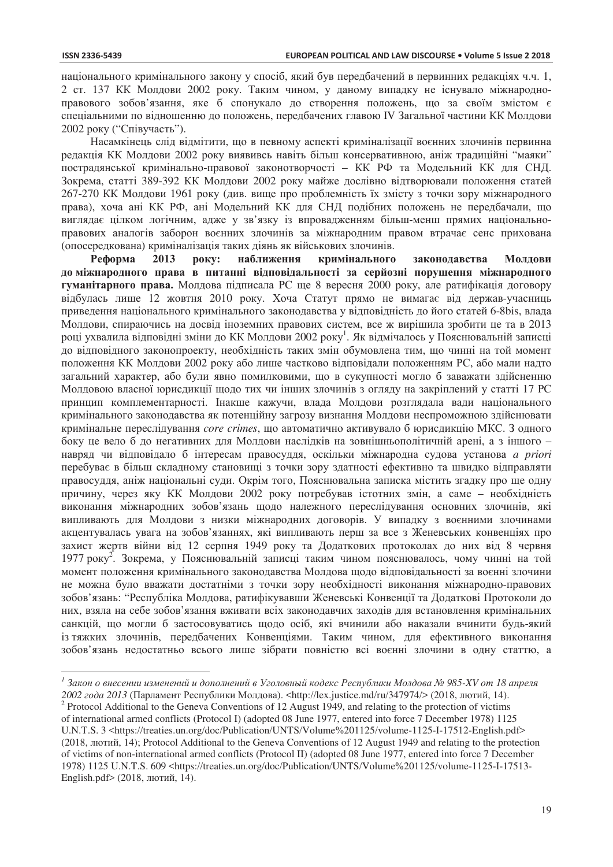$\overline{a}$ 

національного кримінального закону у спосіб, який був передбачений в первинних редакціях ч.ч. 1, 2 ст. 137 КК Молдови 2002 року. Таким чином, у даному випадку не існувало міжнародноправового зобов'язання, яке б спонукало до створення положень, що за своїм змістом є спеціальними по відношенню до положень, передбачених главою IV Загальної частини КК Молдови 2002 року ("Співучасть").

Насамкінець сліл вілмітити, що в певному аспекті криміналізації воєнних злочинів первинна релакція КК Моллови 2002 року виявивсь навіть більш консервативною, аніж тралиційні "маяки" пострадянської кримінально-правової законотворчості - КК РФ та Модельний КК для СНД. Зокрема, статті 389-392 КК Молдови 2002 року майже дослівно відтворювали положення статей 267-270 КК Молдови 1961 року (див. вище про проблемність їх змісту з точки зору міжнародного права), хоча ані КК РФ, ані Модельний КК для СНД подібних положень не передбачали, що виглядає цілком логічним, адже у зв'язку із впровадженням більш-менш прямих національноправових аналогів заборон воєнних злочинів за міжнародним правом втрачає сенс прихована (опосерелкована) криміналізація таких ліянь як військових злочинів.

Реформа 2013 року: наближення кримінального законодавства Молдови до міжнародного права в питанні відповідальності за серйозні порушення міжнародного гуманітарного права. Молдова підписала РС ще 8 вересня 2000 року, але ратифікація договору відбулась лише 12 жовтня 2010 року. Хоча Статут прямо не вимагає від держав-учасниць приведення національного кримінального законодавства у відповідність до його статей 6-8bis, влада Молдови, спираючись на досвід іноземних правових систем, все ж вирішила зробити це та в 2013 році ухвалила відповідні зміни до КК Молдови 2002 року<sup>1</sup>. Як відмічалось у Пояснювальній записці до відповідного законопроекту, необхідність таких змін обумовлена тим, що чинні на той момент положення КК Молдови 2002 року або лише частково відповідали положенням РС, або мали надто загальний характер, або були явно помилковими, що в сукупності могло б заважати здійсненню Молдовою власної юрисдикції щодо тих чи інших злочинів з огляду на закріплений у статті 17 РС принцип комплементарності. Інакше кажучи, влада Молдови розглядала вади національного кримінального законодавства як потенційну загрозу визнання Молдови неспроможною здійснювати кримінальне переслідування *core crimes*, що автоматично активувало б юрисдикцію МКС. З одного боку це вело б до негативних для Молдови наслідків на зовнішньополітичній арені, а з іншого – навряд чи відповідало б інтересам правосуддя, оскільки міжнародна судова установа a priori перебуває в більш складному становищі з точки зору здатності ефективно та швидко відправляти правосуддя, аніж національні суди. Окрім того, Пояснювальна записка містить згадку про ще одну причину, через яку КК Молдови 2002 року потребував істотних змін, а саме – необхідність виконання міжнародних зобов'язань щодо належного переслідування основних злочинів, які випливають для Молдови з низки міжнародних договорів. У випадку з воєнними злочинами акцентувалась увага на зобов'язаннях, які випливають перш за все з Женевських конвенціях про захист жертв війни від 12 серпня 1949 року та Додаткових протоколах до них від 8 червня 1977 року<sup>2</sup>. Зокрема, у Пояснювальній записці таким чином пояснювалось, чому чинні на той момент положення кримінального законодавства Молдова щодо відповідальності за воєнні злочини не можна було вважати достатніми з точки зору необхідності виконання міжнародно-правових зобов'язань: "Республіка Молдова, ратифікувавши Женевські Конвенції та Додаткові Протоколи до них, взяла на себе зобов'язання вживати всіх законодавчих заходів для встановлення кримінальних санкцій, що могли б застосовуватись щодо осіб, які вчинили або наказали вчинити будь-який із тяжких злочинів, передбачених Конвенціями. Таким чином, для ефективного виконання зобов'язань недостатньо всього лише зібрати повністю всі воєнні злочини в одну статтю, а

 $^1$  Закон о внесении изменений и дополнений в Уголовный кодекс Республики Молдова № 985-XV от 18 апреля  $2002$  *года* 2013 (Парламент Республики Молдова). <http://lex.justice.md/ru/347974/> (2018, лютий, 14).

 $2$  Protocol Additional to the Geneva Conventions of 12 August 1949, and relating to the protection of victims of international armed conflicts (Protocol I) (adopted 08 June 1977, entered into force 7 December 1978) 1125 U.N.T.S. 3 <https://treaties.un.org/doc/Publication/UNTS/Volume%201125/volume-1125-I-17512-English.pdf> (2018, лютий, 14); Protocol Additional to the Geneva Conventions of 12 August 1949 and relating to the protection of victims of non-international armed conflicts (Protocol II) (adopted 08 June 1977, entered into force 7 December 1978) 1125 U.N.T.S. 609 <https://treaties.un.org/doc/Publication/UNTS/Volume%201125/volume-1125-I-17513-English.pdf>  $(2018, \text{лютий}, 14)$ .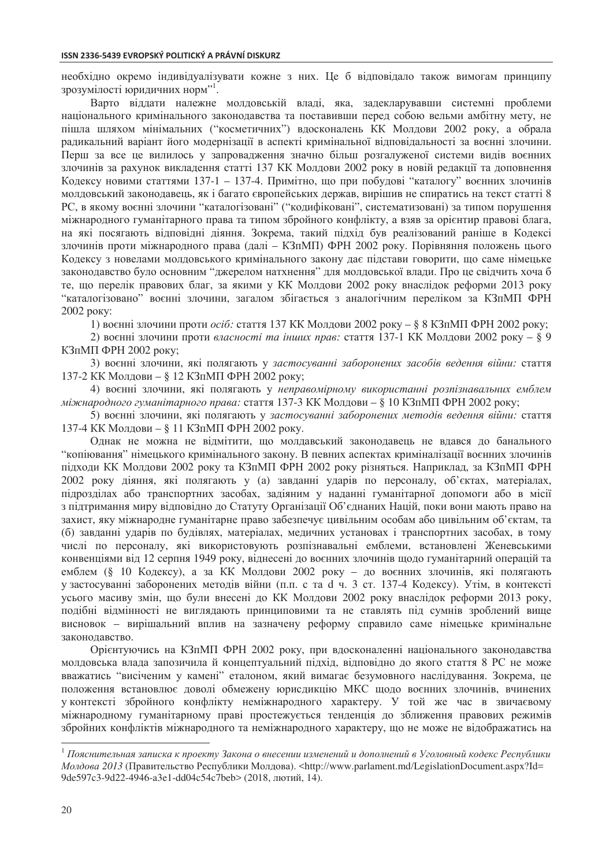необхідно окремо індивідуалізувати кожне з них. Це б відповідало також вимогам принципу зрозумілості юридичних норм"<sup>1</sup>.

Варто віддати належне молдовській владі, яка, задекларувавши системні проблеми національного кримінального законодавства та поставивши перед собою вельми амбітну мету, не пішла шляхом мінімальних ("косметичних") вдосконалень КК Молдови 2002 року, а обрала раликальний варіант його молернізації в аспекті кримінальної вілповілальності за воєнні злочини. Перш за все це вилилось у запровадження значно більш розгалуженої системи видів воєнних злочинів за рахунок викладення статті 137 КК Молдови 2002 року в новій редакції та доповнення Кодексу новими статтями 137-1 – 137-4. Примітно, що при побудові "каталогу" воєнних злочинів молдовський законодавець, як і багато європейських держав, вирішив не спиратись на текст статті 8 РС, в якому воєнні злочини "каталогізовані" ("кодифіковані", систематизовані) за типом порушення міжнародного гуманітарного права та типом збройного конфлікту, а взяв за орієнтир правові блага, на які посягають відповідні діяння. Зокрема, такий підхід був реалізований раніше в Кодексі злочинів проти міжнародного права (далі – КЗпМП) ФРН 2002 року. Порівняння положень цього Кодексу з новелами молдовського кримінального закону дає підстави говорити, що саме німецьке законодавство було основним "джерелом натхнення" для молдовської влади. Про це свідчить хоча б те, що перелік правових благ, за якими у КК Молдови 2002 року внаслідок реформи 2013 року "каталогізовано" воєнні злочини, загалом збігається з аналогічним переліком за КЗпМП ФРН 2002 року:

1) воєнні злочини проти *осіб*: стаття 137 КК Молдови 2002 року – § 8 КЗпМП ФРН 2002 року;

2) воєнні злочини проти власності та інших прав: стаття 137-1 КК Молдови 2002 року – § 9 КЗпМП ФРН 2002 року;

3) воєнні злочини, які полягають у застосуванні заборонених засобів ведення війни: стаття 137-2 КК Молдови – § 12 КЗпМП ФРН 2002 року;

4) воєнні злочини, які полягають у неправомірному використанні розпізнавальних емблем  $M$ *i* $\alpha$ <sup>2</sup>*wahimapho2o npaea:* стаття 137-3 КК Молдови – § 10 КЗпМП ФРН 2002 року;

5) воєнні злочини, які полягають у застосуванні заборонених методів ведення війни: стаття 137-4 КК Молдови – § 11 КЗпМП ФРН 2002 року.

Однак не можна не відмітити, що молдавський законодавець не вдався до банального "копіювання" німецького кримінального закону. В певних аспектах криміналізації воєнних злочинів підходи КК Молдови 2002 року та КЗпМП ФРН 2002 року різняться. Наприклад, за КЗпМП ФРН 2002 року діяння, які полягають у (а) завданні ударів по персоналу, об'єктах, матеріалах, підрозділах або транспортних засобах, задіяним у наданні гуманітарної допомоги або в місії з підтримання миру відповідно до Статуту Організації Об'єднаних Націй, поки вони мають право на захист, яку міжнародне гуманітарне право забезпечує цивільним особам або цивільним об'єктам, та (б) завданні ударів по будівлях, матеріалах, медичних установах і транспортних засобах, в тому числі по персоналу, які використовують розпізнавальні емблеми, встановлені Женевськими конвенціями від 12 серпня 1949 року, віднесені до воєнних злочинів щодо гуманітарний операцій та емблем (§ 10 Кодексу), а за КК Молдови 2002 року - до воєнних злочинів, які полягають у застосуванні заборонених методів війни (п.п. с та d ч. 3 ст. 137-4 Кодексу). Утім, в контексті усього масиву змін, що були внесені до КК Молдови 2002 року внаслідок реформи 2013 року, подібні відмінності не виглядають принциповими та не ставлять під сумнів зроблений вище висновок – вирішальний вплив на зазначену реформу справило саме німецьке кримінальне законодавство.

Орієнтуючись на КЗпМП ФРН 2002 року, при вдосконаленні національного законодавства молдовська влада запозичила й концептуальний підхід, відповідно до якого стаття 8 РС не може вважатись "висіченим у камені" еталоном, який вимагає безумовного наслідування. Зокрема, це положення встановлює доволі обмежену юрисдикцію МКС щодо воєнних злочинів, вчинених у контексті збройного конфлікту неміжнародного характеру. У той же час в звичаєвому міжнародному гуманітарному праві простежується тенденція до зближення правових режимів збройних конфліктів міжнародного та неміжнародного характеру, що не може не відображатись на

<sup>&</sup>lt;sup>1</sup> Пояснительная записка к проекту Закона о внесении изменений и дополнений в Уголовный кодекс Республики *Молдова 2013* (Правительство Республики Молдова). <http://www.parlament.md/LegislationDocument.aspx?Id= 9de597c3-9d22-4946-a3e1-dd04c54c7beb> (2018, лютий, 14).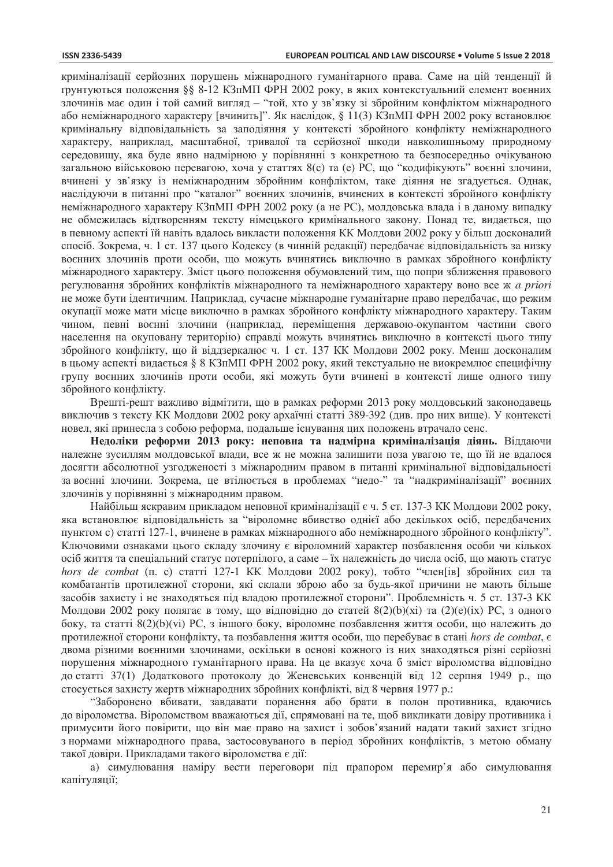криміналізації серйозних порушень міжнародного гуманітарного права. Саме на цій тенденції й грунтуються положення §§ 8-12 КЗпМП ФРН 2002 року, в яких контекстуальний елемент воєнних злочинів має один і той самий вигляд – "той, хто у зв'язку зі збройним конфліктом міжнародного або неміжнародного характеру [вчинить]". Як наслідок, § 11(3) КЗпМП ФРН 2002 року встановлює кримінальну відповідальність за заподіяння у контексті збройного конфлікту неміжнародного характеру, наприклад, масштабної, тривалої та серйозної шкоди навколишньому природному середовищу, яка буде явно надмірною у порівнянні з конкретною та безпосередньо очікуваною загальною військовою перевагою, хоча у статтях 8(с) та (е) РС, що "кодифікують" воєнні злочини, вчинені у зв'язку із неміжнародним збройним конфліктом, таке діяння не згадується. Однак, наслідуючи в питанні про "каталог" воєнних злочинів, вчинених в контексті збройного конфлікту неміжнародного характеру КЗпМП ФРН 2002 року (а не РС), молдовська влада і в даному випадку не обмежилась відтворенням тексту німецького кримінального закону. Понад те, видається, що в певному аспекті їй навіть вдалось викласти положення КК Молдови 2002 року у більш досконалий спосіб. Зокрема, ч. 1 ст. 137 цього Кодексу (в чинній редакції) передбачає відповідальність за низку воєнних злочинів проти особи, що можуть вчинятись виключно в рамках збройного конфлікту міжнародного характеру. Зміст цього положення обумовлений тим, що попри зближення правового регулювання збройних конфліктів міжнародного та неміжнародного характеру воно все ж *а priori* не може бути ідентичним. Наприклад, сучасне міжнародне гуманітарне право передбачає, що режим окупації може мати місце виключно в рамках збройного конфлікту міжнародного характеру. Таким чином, певні воєнні злочини (наприклад, переміщення державою-окупантом частини свого населення на окуповану територію) справді можуть вчинятись виключно в контексті цього типу збройного конфлікту, що й віддзеркалює ч. 1 ст. 137 КК Молдови 2002 року. Менш досконалим в цьому аспекті видається § 8 КЗпМП ФРН 2002 року, який текстуально не виокремлює специфічну групу воєнних злочинів проти особи, які можуть бути вчинені в контексті лише одного типу збройного конфлікту.

Врешті-решт важливо відмітити, що в рамках реформи 2013 року молдовський законодавець виключив з тексту КК Молдови 2002 року архаїчні статті 389-392 (див. про них вище). У контексті новел, які принесла з собою реформа, подальше існування цих положень втрачало сенс.

Недоліки реформи 2013 року: неповна та надмірна криміналізація діянь. Віддаючи належне зусиллям молдовської влади, все ж не можна залишити поза увагою те, що їй не вдалося досягти абсолютної узгодженості з міжнародним правом в питанні кримінальної відповідальності за воєнні злочини. Зокрема, це втілюється в проблемах "недо-" та "надкриміналізації" воєнних злочинів у порівнянні з міжнародним правом.

Найбільш яскравим прикладом неповної криміналізації є ч. 5 ст. 137-3 КК Молдови 2002 року, яка встановлює відповідальність за "віроломне вбивство однієї або декількох осіб, передбачених пунктом с) статті 127-1, вчинене в рамках міжнародного або неміжнародного збройного конфлікту". Ключовими ознаками цього складу злочину є віроломний характер позбавлення особи чи кількох осіб життя та спеціальний статус потерпілого, а саме – їх належність до числа осіб, що мають статус *hors de combat* (п. с) статті 127-1 КК Молдови 2002 року), тобто "член[ів] збройних сил та комбатантів протилежної сторони, які склали зброю або за будь-якої причини не мають більше засобів захисту і не знаходяться під владою протилежної сторони". Проблемність ч. 5 ст. 137-3 КК Молдови 2002 року полягає в тому, що відповідно до статей  $8(2)(b)(xi)$  та  $(2)(e)(ix)$  PC, з одного боку, та статті 8(2)(b)(vi) PC, з іншого боку, віроломне позбавлення життя особи, що належить до протилежної сторони конфлікту, та позбавлення життя особи, що перебуває в стані hors de combat, є двома різними воєнними злочинами, оскільки в основі кожного із них знаходяться різні серйозні порушення міжнародного гуманітарного права. На це вказує хоча б зміст віроломства відповідно до статті 37(1) Додаткового протоколу до Женевських конвенцій від 12 серпня 1949 р., що стосується захисту жертв міжнародних збройних конфлікті, від 8 червня 1977 р.:

"Заборонено вбивати, завдавати поранення або брати в полон противника, вдаючись до віроломства. Віроломством вважаються дії, спрямовані на те, щоб викликати довіру противника і примусити його повірити, що він має право на захист і зобов'язаний налати такий захист згілно з нормами міжнародного права, застосовуваного в період збройних конфліктів, з метою обману такої ловіри. Приклалами такого віроломства є лії:

а) симулювання наміру вести переговори під прапором перемир'я або симулювання капітуляції;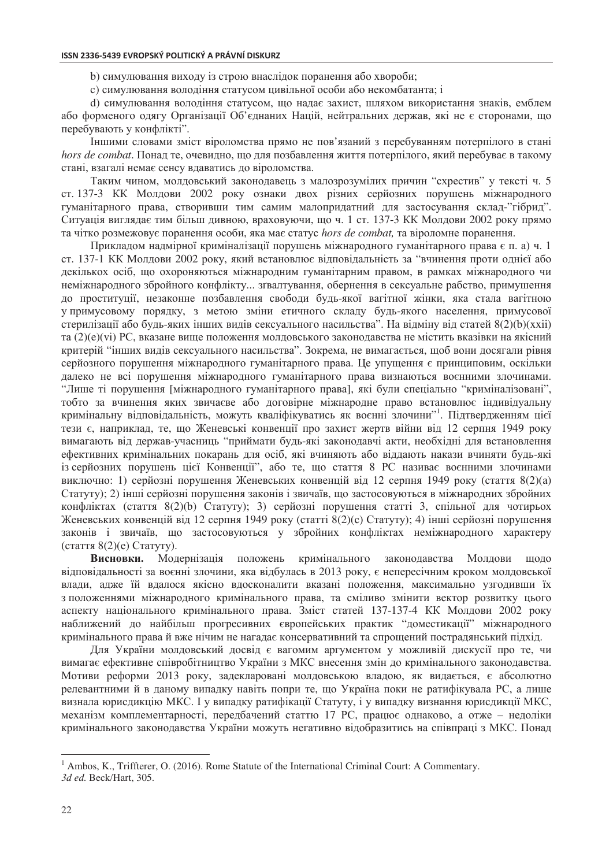b) симулювання виходу із строю внаслідок поранення або хвороби;

с) симулювання володіння статусом цивільної особи або некомбатанта; і

d) симулювання володіння статусом, що надає захист, шляхом використання знаків, емблем або форменого одягу Організації Об'єднаних Націй, нейтральних держав, які не є сторонами, що перебувають у конфлікті".

Iншими словами зміст віроломства прямо не пов'язаний з перебуванням потерпілого в стані *hors de combat*. Понал те, очевилно, що для позбавлення життя потерпілого, який перебуває в такому стані, взагалі немає сенсу вдаватись до віроломства.

Таким чином, молдовський законодавець з малозрозумілих причин "схрестив" у тексті ч. 5 ст. 137-3 КК Молдови 2002 року ознаки двох різних серйозних порушень міжнародного гуманітарного права, створивши тим самим малопридатний для застосування склад-"гібрид". Ситуація виглядає тим більш дивною, враховуючи, що ч. 1 ст. 137-3 КК Молдови 2002 року прямо та чітко розмежовує поранення особи, яка має статус *hors de combat*, та віроломне поранення.

Прикладом надмірної криміналізації порушень міжнародного гуманітарного права є п. а) ч. 1 ст. 137-1 КК Молдови 2002 року, який встановлює відповідальність за "вчинення проти однієї або декількох осіб, що охороняються міжнародним гуманітарним правом, в рамках міжнародного чи неміжнародного збройного конфлікту... зґвалтування, обернення в сексуальне рабство, примушення до проституції, незаконне позбавлення свободи будь-якої вагітної жінки, яка стала вагітною у примусовому порядку, з метою зміни етичного складу будь-якого населення, примусової стерилізації або будь-яких інших видів сексуального насильства". На відміну від статей 8(2)(b)(xxii) та (2)(e)(vi) PC, вказане вище положення молдовського законодавства не містить вказівки на якісний критерій "інших видів сексуального насильства". Зокрема, не вимагається, щоб вони досягали рівня серйозного порушення міжнародного гуманітарного права. Це упущення є принциповим, оскільки далеко не всі порушення міжнародного гуманітарного права визнаються воєнними злочинами. "Лише ті порушення [міжнародного гуманітарного права], які були спеціально "криміналізовані", тобто за вчинення яких звичаєве або договірне міжнародне право встановлює індивідуальну кримінальну відповідальність, можуть кваліфікуватись як воєнні злочини" Підтвердженням цієї тези є, наприклад, те, що Женевські конвенції про захист жертв війни від 12 серпня 1949 року вимагають від держав-учасниць "приймати будь-які законодавчі акти, необхідні для встановлення ефективних кримінальних покарань для осіб, які вчиняють або віддають накази вчиняти будь-які із серйозних порушень цієї Конвенції", або те, що стаття 8 РС називає воєнними злочинами виключно: 1) серйозні порушення Женевських конвенцій від 12 серпня 1949 року (стаття 8(2)(а) Статуту); 2) інші серйозні порушення законів і звичаїв, що застосовуються в міжнародних збройних конфліктах (стаття 8(2)(b) Статуту); 3) серйозні порушення статті 3, спільної для чотирьох Женевських конвенцій від 12 серпня 1949 року (статті 8(2)(c) Статуту); 4) інші серйозні порушення законів і звичаїв, що застосовуються у збройних конфліктах неміжнародного характеру (стаття  $8(2)$ (е) Статуту).

Висновки. Модернізація положень кримінального законодавства Молдови щодо відповідальності за воєнні злочини, яка відбулась в 2013 року, є непересічним кроком молдовської влади, адже їй вдалося якісно вдосконалити вказані положення, максимально узгодивши їх з положеннями міжнародного кримінального права, та сміливо змінити вектор розвитку цього аспекту національного кримінального права. Зміст статей 137-137-4 КК Молдови 2002 року наближений до найбільш прогресивних європейських практик "доместикації" міжнародного кримінального права й вже нічим не нагадає консервативний та спрощений пострадянський підхід.

Для України молдовський досвід є вагомим аргументом у можливій дискусії про те, чи вимагає ефективне співробітництво України з МКС внесення змін до кримінального законодавства. Мотиви реформи 2013 року, задекларовані молдовською владою, як видається, є абсолютно релевантними й в даному випадку навіть попри те, що Україна поки не ратифікувала РС, а лише визнала юрисдикцію МКС. І у випадку ратифікації Статуту, і у випадку визнання юрисдикції МКС, механізм комплементарності, передбачений статтю 17 РС, працює однаково, а отже - недоліки кримінального законодавства України можуть негативно відобразитись на співпраці з МКС. Понад

<sup>&</sup>lt;sup>1</sup> Ambos, K., Triffterer, O. (2016). Rome Statute of the International Criminal Court: A Commentary. *3d ed.* Beck/Hart, 305.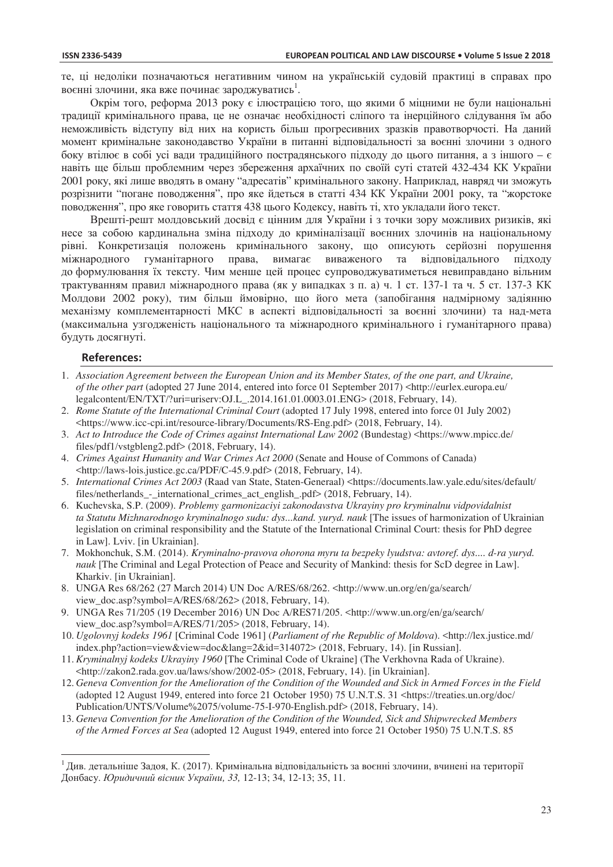те, ці недоліки позначаються негативним чином на українській судовій практиці в справах про воєнні злочини, яка вже починає зароджуватись $^{\rm l}$ .

Окрім того, реформа 2013 року є ілюстрацією того, що якими б міцними не були національні традиції кримінального права, це не означає необхідності сліпого та інерційного слідування їм або неможливість відступу від них на користь більш прогресивних зразків правотворчості. На даний момент кримінальне законолавство України в питанні вілповілальності за воєнні злочини з олного боку втілює в собі усі вади традиційного пострадянського підходу до цього питання, а з іншого – є навіть ще більш проблемним через збереження архаїчних по своїй суті статей 432-434 КК України 2001 року, які лише вводять в оману "адресатів" кримінального закону. Наприклад, навряд чи зможуть розрізнити "погане поводження", про яке йдеться в статті 434 КК України 2001 року, та "жорстоке поводження", про яке говорить стаття 438 цього Кодексу, навіть ті, хто укладали його текст.

Врешті-решт молдовський досвід є цінним для України і з точки зору можливих ризиків, які несе за собою кардинальна зміна підходу до криміналізації воєнних злочинів на національному рівні. Конкретизація положень кримінального закону, що описують серйозні порушення міжнародного гуманітарного права, вимагає виваженого та відповідального підходу до формулювання їх тексту. Чим менше цей процес супроводжуватиметься невиправдано вільним трактуванням правил міжнародного права (як у випадках з п. а) ч. 1 ст. 137-1 та ч. 5 ст. 137-3 КК Молдови 2002 року), тим більш ймовірно, що його мета (запобігання надмірному задіянню механізму комплементарності МКС в аспекті відповідальності за воєнні злочини) та над-мета (максимальна узгодженість національного та міжнародного кримінального і гуманітарного права) будуть досягнуті.

#### **References:**

- 1. *Association Agreement between the European Union and its Member States, of the one part, and Ukraine, of the other part* (adopted 27 June 2014, entered into force 01 September 2017) <http://eurlex.europa.eu/ legalcontent/EN/TXT/?uri=uriserv:OJ.L\_.2014.161.01.0003.01.ENG> (2018, February, 14).
- 2. *Rome Statute of the International Criminal Court* (adopted 17 July 1998, entered into force 01 July 2002) <https://www.icc-cpi.int/resource-library/Documents/RS-Eng.pdf> (2018, February, 14).
- 3. *Act to Introduce the Code of Crimes against International Law 2002* (Bundestag) <https://www.mpicc.de/ files/pdf1/vstgbleng2.pdf> (2018, February, 14).
- 4. *Crimes Against Humanity and War Crimes Act 2000* (Senate and House of Commons of Canada) <http://laws-lois.justice.gc.ca/PDF/C-45.9.pdf> (2018, February, 14).
- 5. *International Crimes Act 2003* (Raad van State, Staten-Generaal) <https://documents.law.yale.edu/sites/default/ files/netherlands - international crimes act english .pdf> (2018, February, 14).
- 6. Kuchevska, S.P. (2009). *Problemy garmonizaciyi zakonodavstva Ukrayiny pro kryminalnu vidpovidalnist ta Statutu Mizhnarodnogo kryminalnogo sudu: dys...kand. yuryd. nauk* [The issues of harmonization of Ukrainian legislation on criminal responsibility and the Statute of the International Criminal Court: thesis for PhD degree in Law]. Lviv. [in Ukrainian].
- 7. Mokhonchuk, S.M. (2014). *Kryminalno-pravova ohorona myru ta bezpeky lyudstva: avtoref. dys.... d-ra yuryd. nauk* [The Criminal and Legal Protection of Peace and Security of Mankind: thesis for ScD degree in Law]. Kharkiv. [in Ukrainian].
- 8. UNGA Res 68/262 (27 March 2014) UN Doc A/RES/68/262. <http://www.un.org/en/ga/search/ view\_doc.asp?symbol=A/RES/68/262> (2018, February, 14).
- 9. UNGA Res 71/205 (19 December 2016) UN Doc A/RES71/205. <http://www.un.org/en/ga/search/ view\_doc.asp?symbol=A/RES/71/205> (2018, February, 14).
- 10. *Ugolovnyj kodeks 1961* [Criminal Code 1961] (*Parliament of rhe Republic of Moldova*). <http://lex.justice.md/ index.php?action=view&view=doc&lang=2&id=314072> (2018, February, 14). [in Russian].
- 11.*Kryminalnyj kodeks Ukrayiny 1960* [The Criminal Code of Ukraine] (The Verkhovna Rada of Ukraine). <http://zakon2.rada.gov.ua/laws/show/2002-05> (2018, February, 14). [in Ukrainian].
- 12. *Geneva Convention for the Amelioration of the Condition of the Wounded and Sick in Armed Forces in the Field* (adopted 12 August 1949, entered into force 21 October 1950) 75 U.N.T.S. 31 <https://treaties.un.org/doc/ Publication/UNTS/Volume%2075/volume-75-I-970-English.pdf> (2018, February, 14).
- 13. *Geneva Convention for the Amelioration of the Condition of the Wounded, Sick and Shipwrecked Members of the Armed Forces at Sea* (adopted 12 August 1949, entered into force 21 October 1950) 75 U.N.T.S. 85

 $1\overline{I}$ Див. детальніше Задоя, К. (2017). Кримінальна відповідальність за воєнні злочини, вчинені на території Донбасу. *Юридичний вісник України*, 33, 12-13; 34, 12-13; 35, 11.